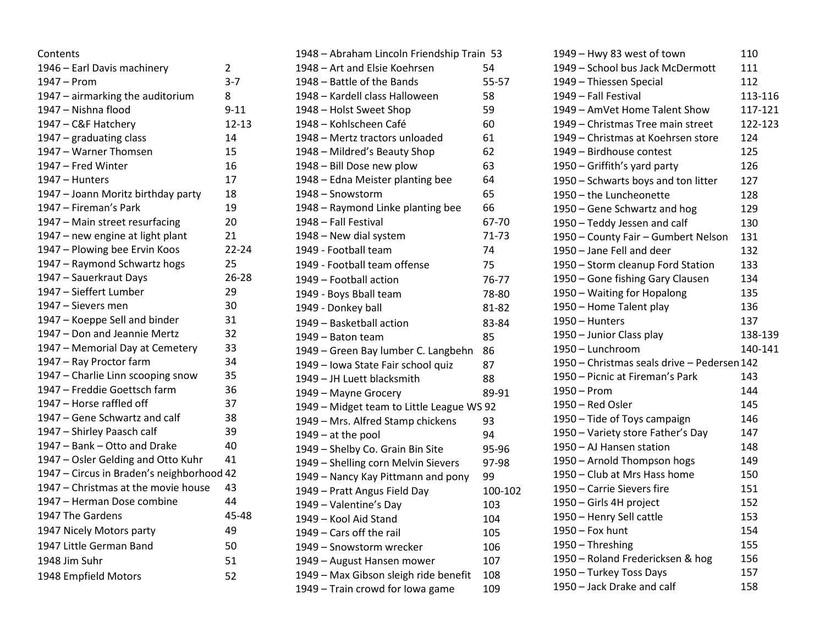| Contents                                  |           |
|-------------------------------------------|-----------|
| 1946 - Earl Davis machinery               | 2         |
| 1947 - Prom                               | $3 - 7$   |
| 1947 - airmarking the auditorium          | 8         |
| 1947 - Nishna flood                       | $9 - 11$  |
| 1947 - C&F Hatchery                       | $12 - 13$ |
| 1947 - graduating class                   | 14        |
| 1947 - Warner Thomsen                     | 15        |
| 1947 - Fred Winter                        | 16        |
| 1947 - Hunters                            | 17        |
| 1947 - Joann Moritz birthday party        | 18        |
| 1947 – Fireman's Park                     | 19        |
| 1947 - Main street resurfacing            | 20        |
| 1947 – new engine at light plant          | 21        |
| 1947 - Plowing bee Ervin Koos             | $22 - 24$ |
| 1947 - Raymond Schwartz hogs              | 25        |
| 1947 - Sauerkraut Days                    | 26-28     |
| 1947 - Sieffert Lumber                    | 29        |
| 1947 - Sievers men                        | 30        |
| 1947 - Koeppe Sell and binder             | 31        |
| 1947 - Don and Jeannie Mertz              | 32        |
| 1947 - Memorial Day at Cemetery           | 33        |
| 1947 - Ray Proctor farm                   | 34        |
| 1947 - Charlie Linn scooping snow         | 35        |
| 1947 - Freddie Goettsch farm              | 36        |
| 1947 – Horse raffled off                  | 37        |
| 1947 – Gene Schwartz and calf             | 38        |
| 1947 - Shirley Paasch calf                | 39        |
| 1947 - Bank - Otto and Drake              | 40        |
| 1947 - Osler Gelding and Otto Kuhr        | 41        |
| 1947 - Circus in Braden's neighborhood 42 |           |
| 1947 - Christmas at the movie house       | 43        |
| 1947 – Herman Dose combine                | 44        |
| 1947 The Gardens                          | 45-48     |
| 1947 Nicely Motors party                  | 49        |
| 1947 Little German Band                   | 50        |
| 1948 Jim Suhr                             | 51        |
| 1948 Empfield Motors                      | 52        |
|                                           |           |

| 1948 - Abraham Lincoln Friendship Train 53 |         |  |  |
|--------------------------------------------|---------|--|--|
| 1948 - Art and Elsie Koehrsen              | 54      |  |  |
| 1948 – Battle of the Bands                 | 55-57   |  |  |
| 1948 - Kardell class Halloween             | 58      |  |  |
| 1948 - Holst Sweet Shop                    | 59      |  |  |
| 1948 - Kohlscheen Café                     | 60      |  |  |
| 1948 – Mertz tractors unloaded             | 61      |  |  |
| 1948 - Mildred's Beauty Shop               | 62      |  |  |
| 1948 - Bill Dose new plow                  | 63      |  |  |
| 1948 - Edna Meister planting bee           | 64      |  |  |
| 1948 - Snowstorm                           | 65      |  |  |
| 1948 - Raymond Linke planting bee          | 66      |  |  |
| 1948 - Fall Festival                       | 67-70   |  |  |
| 1948 - New dial system                     | 71-73   |  |  |
| 1949 - Football team                       | 74      |  |  |
| 1949 - Football team offense               | 75      |  |  |
| 1949 – Football action                     | 76-77   |  |  |
| 1949 - Boys Bball team                     | 78-80   |  |  |
| 1949 - Donkey ball                         | 81-82   |  |  |
| 1949 - Basketball action                   | 83-84   |  |  |
| 1949 – Baton team                          | 85      |  |  |
| 1949 – Green Bay lumber C. Langbehn        | 86      |  |  |
| 1949 - Iowa State Fair school quiz         | 87      |  |  |
| 1949 - JH Luett blacksmith                 | 88      |  |  |
| 1949 - Mayne Grocery                       | 89-91   |  |  |
| 1949 - Midget team to Little League WS 92  |         |  |  |
| 1949 - Mrs. Alfred Stamp chickens          | 93      |  |  |
| $1949 - at the pool$                       | 94      |  |  |
| 1949 - Shelby Co. Grain Bin Site           | 95-96   |  |  |
| 1949 - Shelling corn Melvin Sievers        | 97-98   |  |  |
| 1949 – Nancy Kay Pittmann and pony         | 99      |  |  |
| 1949 - Pratt Angus Field Day               | 100-102 |  |  |
| 1949 - Valentine's Day                     | 103     |  |  |
| 1949 - Kool Aid Stand                      | 104     |  |  |
| 1949 - Cars off the rail                   | 105     |  |  |
| 1949 - Snowstorm wrecker                   | 106     |  |  |
| 1949 - August Hansen mower                 | 107     |  |  |
| 1949 - Max Gibson sleigh ride benefit      | 108     |  |  |
| 1949 - Train crowd for Iowa game           | 109     |  |  |
|                                            |         |  |  |

| 1949 - Hwy 83 west of town                  | 110     |
|---------------------------------------------|---------|
| 1949 - School bus Jack McDermott            | 111     |
| 1949 - Thiessen Special                     | 112     |
| 1949 - Fall Festival                        | 113-116 |
| 1949 - AmVet Home Talent Show               | 117-121 |
| 1949 – Christmas Tree main street           | 122-123 |
| 1949 – Christmas at Koehrsen store          | 124     |
| 1949 - Birdhouse contest                    | 125     |
| 1950 – Griffith's yard party                | 126     |
| 1950 - Schwarts boys and ton litter         | 127     |
| 1950 - the Luncheonette                     | 128     |
| 1950 - Gene Schwartz and hog                | 129     |
| 1950 - Teddy Jessen and calf                | 130     |
| 1950 - County Fair - Gumbert Nelson         | 131     |
| 1950 - Jane Fell and deer                   | 132     |
| 1950 - Storm cleanup Ford Station           | 133     |
| 1950 - Gone fishing Gary Clausen            | 134     |
| 1950 - Waiting for Hopalong                 | 135     |
| 1950 - Home Talent play                     | 136     |
| 1950 - Hunters                              | 137     |
| 1950 - Junior Class play                    | 138-139 |
| 1950 - Lunchroom                            | 140-141 |
| 1950 - Christmas seals drive - Pedersen 142 |         |
| 1950 - Picnic at Fireman's Park             | 143     |
| 1950 - Prom                                 | 144     |
| 1950 - Red Osler                            | 145     |
| 1950 - Tide of Toys campaign                | 146     |
| 1950 - Variety store Father's Day           | 147     |
| 1950 - AJ Hansen station                    | 148     |
| 1950 - Arnold Thompson hogs                 | 149     |
| 1950 - Club at Mrs Hass home                | 150     |
| 1950 - Carrie Sievers fire                  | 151     |
| 1950 - Girls 4H project                     | 152     |
| 1950 - Henry Sell cattle                    | 153     |
| 1950 - Fox hunt                             | 154     |
| 1950 - Threshing                            | 155     |
| 1950 - Roland Fredericksen & hog            | 156     |
| 1950 - Turkey Toss Days                     | 157     |
| 1950 - Jack Drake and calf                  | 158     |
|                                             |         |